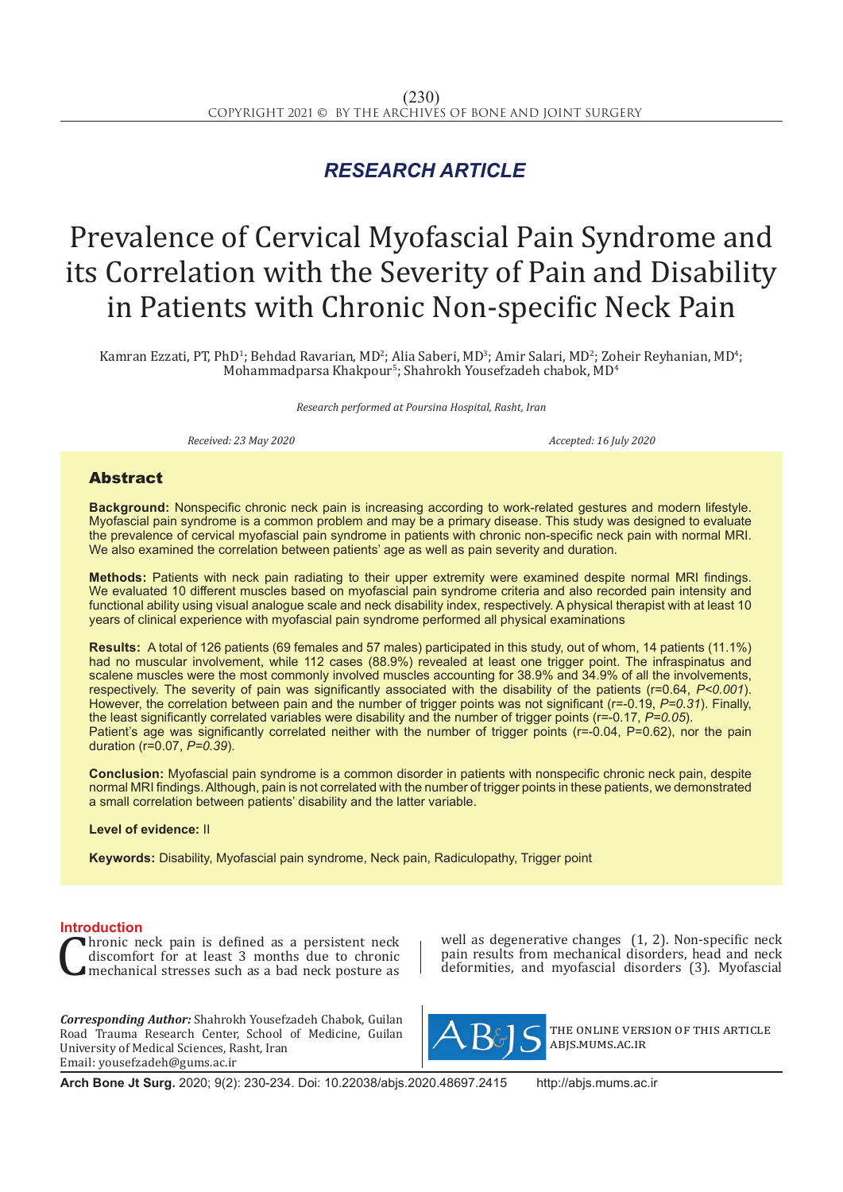## *RESEARCH ARTICLE*

# Prevalence of Cervical Myofascial Pain Syndrome and its Correlation with the Severity of Pain and Disability in Patients with Chronic Non-specific Neck Pain

Kamran Ezzati, PT, PhD<sup>1</sup>; Behdad Ravarian, MD<sup>2</sup>; Alia Saberi, MD<sup>3</sup>; Amir Salari, MD<sup>2</sup>; Zoheir Reyhanian, MD<sup>4</sup>;  $\rm Mohammadpars$ a Khakpour $\rm ^{5}$ ; Shahrokh Yousefzadeh chabok,  $\rm MD^{4}$ 

*Research performed at Poursina Hospital, Rasht, Iran*

*Received: 23 May 2020 Accepted: 16 July 2020*

### Abstract

**Background:** Nonspecific chronic neck pain is increasing according to work-related gestures and modern lifestyle. Myofascial pain syndrome is a common problem and may be a primary disease. This study was designed to evaluate the prevalence of cervical myofascial pain syndrome in patients with chronic non-specific neck pain with normal MRI. We also examined the correlation between patients' age as well as pain severity and duration.

**Methods:** Patients with neck pain radiating to their upper extremity were examined despite normal MRI findings. We evaluated 10 different muscles based on myofascial pain syndrome criteria and also recorded pain intensity and functional ability using visual analogue scale and neck disability index, respectively. A physical therapist with at least 10 years of clinical experience with myofascial pain syndrome performed all physical examinations

**Results:** A total of 126 patients (69 females and 57 males) participated in this study, out of whom, 14 patients (11.1%) had no muscular involvement, while 112 cases (88.9%) revealed at least one trigger point. The infraspinatus and scalene muscles were the most commonly involved muscles accounting for 38.9% and 34.9% of all the involvements, respectively. The severity of pain was significantly associated with the disability of the patients (r=0.64, *P<0.001*). However, the correlation between pain and the number of trigger points was not significant (r=-0.19, *P=0.31*). Finally, the least significantly correlated variables were disability and the number of trigger points (r=-0.17, *P=0.05*). Patient's age was significantly correlated neither with the number of trigger points (r=-0.04, P=0.62), nor the pain duration (r=0.07, *P=0.39*).

**Conclusion:** Myofascial pain syndrome is a common disorder in patients with nonspecific chronic neck pain, despite normal MRI findings. Although, pain is not correlated with the number of trigger points in these patients, we demonstrated a small correlation between patients' disability and the latter variable.

**Level of evidence:** II

**Keywords:** Disability, Myofascial pain syndrome, Neck pain, Radiculopathy, Trigger point

**Introduction**<br>**Thronic neck pain is defined as a persistent neck** Thronic neck pain is defined as a persistent neck<br>discomfort for at least 3 months due to chronic<br>mechanical stresses such as a bad neck posture as discomfort for at least 3 months due to chronic mechanical stresses such as a bad neck posture as

*Corresponding Author:* Shahrokh Yousefzadeh Chabok, Guilan Road Trauma Research Center, School of Medicine, Guilan University of Medical Sciences, Rasht, Iran Email: yousefzadeh@gums.ac.ir

well as degenerative changes (1, 2). Non-specific neck pain results from mechanical disorders, head and neck deformities, and myofascial disorders (3). Myofascial



the online version of this article abjs.mums.ac.ir

**Arch Bone Jt Surg.** 2020; 9(2): 230-234. Doi: 10.22038/abjs.2020.48697.2415 http://abjs.mums.ac.ir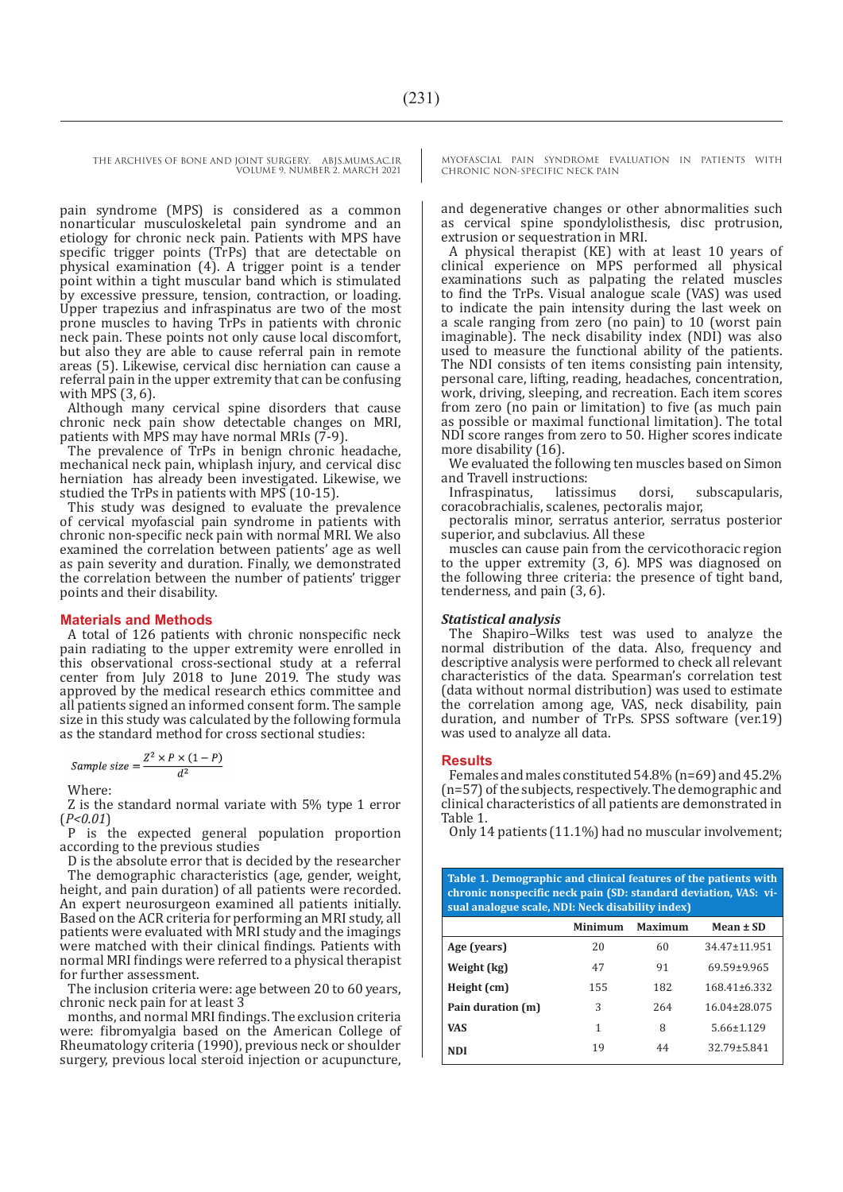pain syndrome (MPS) is considered as a common nonarticular musculoskeletal pain syndrome and an etiology for chronic neck pain. Patients with MPS have specific trigger points (TrPs) that are detectable on physical examination (4). A trigger point is a tender point within a tight muscular band which is stimulated by excessive pressure, tension, contraction, or loading. Upper trapezius and infraspinatus are two of the most prone muscles to having TrPs in patients with chronic neck pain. These points not only cause local discomfort, but also they are able to cause referral pain in remote areas (5). Likewise, cervical disc herniation can cause a referral pain in the upper extremity that can be confusing with MPS (3, 6).

Although many cervical spine disorders that cause chronic neck pain show detectable changes on MRI, patients with MPS may have normal MRIs (7-9).

The prevalence of TrPs in benign chronic headache, mechanical neck pain, whiplash injury, and cervical disc herniation has already been investigated. Likewise, we studied the TrPs in patients with MPS (10-15).

This study was designed to evaluate the prevalence of cervical myofascial pain syndrome in patients with chronic non-specific neck pain with normal MRI. We also examined the correlation between patients' age as well as pain severity and duration. Finally, we demonstrated the correlation between the number of patients' trigger points and their disability.

#### **Materials and Methods**

A total of 126 patients with chronic nonspecific neck pain radiating to the upper extremity were enrolled in this observational cross-sectional study at a referral center from July 2018 to June 2019. The study was approved by the medical research ethics committee and all patients signed an informed consent form. The sample size in this study was calculated by the following formula as the standard method for cross sectional studies:

Sample size = 
$$
\frac{Z^2 \times P \times (1 - P)}{d^2}
$$

Where:

Z is the standard normal variate with 5% type 1 error (*P<0.01*)

P is the expected general population proportion according to the previous studies

D is the absolute error that is decided by the researcher The demographic characteristics (age, gender, weight, height, and pain duration) of all patients were recorded. An expert neurosurgeon examined all patients initially. Based on the ACR criteria for performing an MRI study, all patients were evaluated with MRI study and the imagings were matched with their clinical findings. Patients with normal MRI findings were referred to a physical therapist for further assessment.

The inclusion criteria were: age between 20 to 60 years, chronic neck pain for at least 3

months, and normal MRI findings. The exclusion criteria were: fibromyalgia based on the American College of Rheumatology criteria (1990), previous neck or shoulder surgery, previous local steroid injection or acupuncture, MYOFASCIAL PAIN SYNDROME EVALUATION IN PATIENTS WITH CHRONIC NON-SPECIFIC NECK PAIN

and degenerative changes or other abnormalities such as cervical spine spondylolisthesis, disc protrusion, extrusion or sequestration in MRI.

A physical therapist (KE) with at least 10 years of clinical experience on MPS performed all physical examinations such as palpating the related muscles to find the TrPs. Visual analogue scale (VAS) was used to indicate the pain intensity during the last week on a scale ranging from zero (no pain) to 10 (worst pain imaginable). The neck disability index (NDI) was also used to measure the functional ability of the patients. The NDI consists of ten items consisting pain intensity, personal care, lifting, reading, headaches, concentration, work, driving, sleeping, and recreation. Each item scores from zero (no pain or limitation) to five (as much pain as possible or maximal functional limitation). The total NDI score ranges from zero to 50. Higher scores indicate more disability (16).

We evaluated the following ten muscles based on Simon and Travell instructions:<br>Infraspinatus, latissimus

Infraspinatus, latissimus dorsi, subscapularis, coracobrachialis, scalenes, pectoralis major,

pectoralis minor, serratus anterior, serratus posterior superior, and subclavius. All these

muscles can cause pain from the cervicothoracic region to the upper extremity (3, 6). MPS was diagnosed on the following three criteria: the presence of tight band, tenderness, and pain (3, 6).

#### *Statistical analysis*

The Shapiro–Wilks test was used to analyze the normal distribution of the data. Also, frequency and descriptive analysis were performed to check all relevant characteristics of the data. Spearman's correlation test (data without normal distribution) was used to estimate the correlation among age, VAS, neck disability, pain duration, and number of TrPs. SPSS software (ver.19) was used to analyze all data.

#### **Results**

Females and males constituted 54.8% (n=69) and 45.2% (n=57) of the subjects, respectively. The demographic and clinical characteristics of all patients are demonstrated in Table 1.

Only 14 patients (11.1%) had no muscular involvement;

| Table 1. Demographic and clinical features of the patients with<br>chronic nonspecific neck pain (SD: standard deviation, VAS: vi-<br>sual analogue scale, NDI: Neck disability index) |         |         |                    |  |  |  |
|----------------------------------------------------------------------------------------------------------------------------------------------------------------------------------------|---------|---------|--------------------|--|--|--|
|                                                                                                                                                                                        | Minimum | Maximum | Mean $\pm$ SD      |  |  |  |
| Age (years)                                                                                                                                                                            | 20      | 60      | $34.47 \pm 11.951$ |  |  |  |
| Weight (kg)                                                                                                                                                                            | 47      | 91      | 69.59±9.965        |  |  |  |
| Height (cm)                                                                                                                                                                            | 155     | 182     | $168.41 \pm 6.332$ |  |  |  |
| Pain duration (m)                                                                                                                                                                      | 3       | 264     | 16.04+28.075       |  |  |  |
| <b>VAS</b>                                                                                                                                                                             | 1       | 8       | $5.66 \pm 1.129$   |  |  |  |
| <b>NDI</b>                                                                                                                                                                             | 19      | 44      | $32.79 \pm 5.841$  |  |  |  |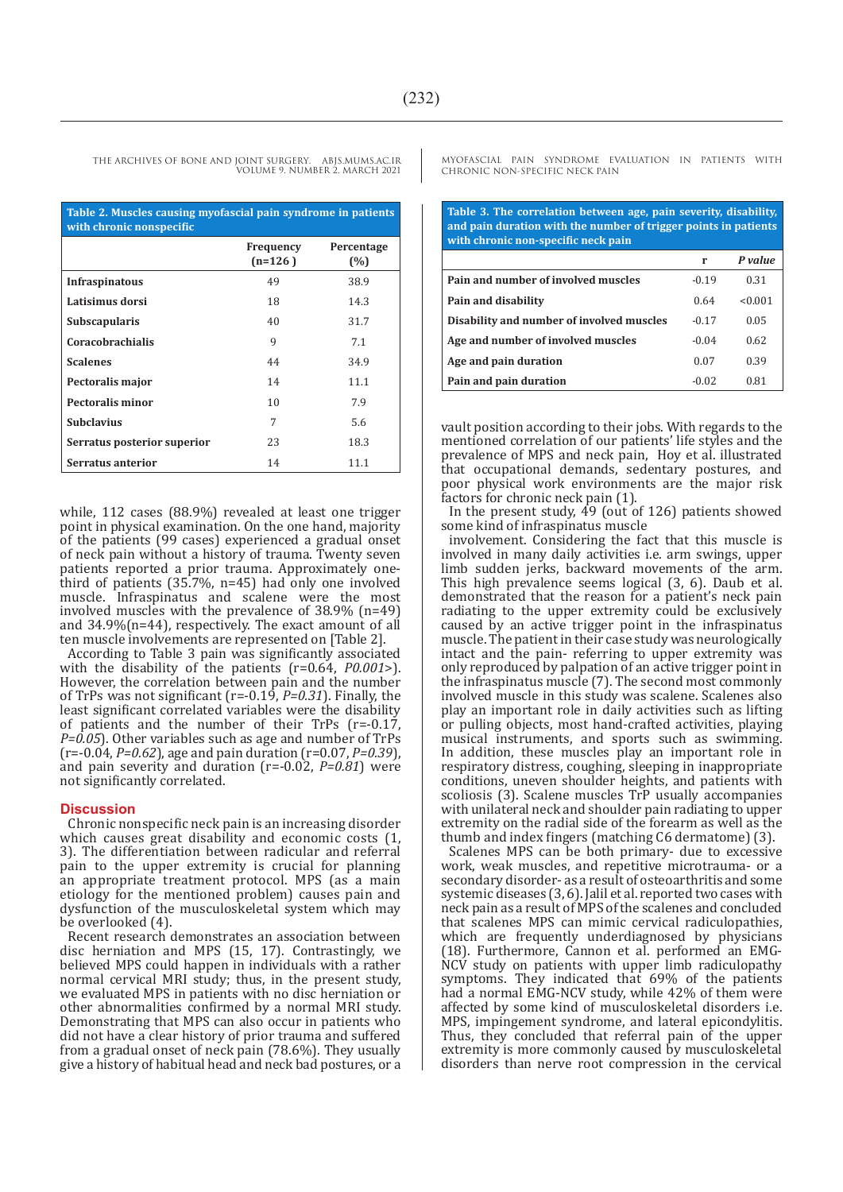| Table 2. Muscles causing myofascial pain syndrome in patients<br>with chronic nonspecific |                        |                   |  |  |  |
|-------------------------------------------------------------------------------------------|------------------------|-------------------|--|--|--|
|                                                                                           | Frequency<br>$(n=126)$ | Percentage<br>(%) |  |  |  |
| <b>Infraspinatous</b>                                                                     | 49                     | 38.9              |  |  |  |
| Latisimus dorsi                                                                           | 18                     | 14.3              |  |  |  |
| Subscapularis                                                                             | 40                     | 31.7              |  |  |  |
| <b>Coracobrachialis</b>                                                                   | 9                      | 7.1               |  |  |  |
| <b>Scalenes</b>                                                                           | 44                     | 34.9              |  |  |  |
| Pectoralis major                                                                          | 14                     | 11.1              |  |  |  |
| Pectoralis minor                                                                          | 10                     | 7.9               |  |  |  |
| <b>Subclavius</b>                                                                         | 7                      | 5.6               |  |  |  |
| Serratus posterior superior                                                               | 23                     | 18.3              |  |  |  |
| Serratus anterior                                                                         | 14                     | 11.1              |  |  |  |

while, 112 cases (88.9%) revealed at least one trigger point in physical examination. On the one hand, majority of the patients (99 cases) experienced a gradual onset of neck pain without a history of trauma. Twenty seven patients reported a prior trauma. Approximately onethird of patients (35.7%, n=45) had only one involved muscle. Infraspinatus and scalene were the most involved muscles with the prevalence of  $38.9\%$  (n=49) and 34.9%(n=44), respectively. The exact amount of all ten muscle involvements are represented on [Table 2].

According to Table 3 pain was significantly associated with the disability of the patients (r=0.64, *P0.001*>). However, the correlation between pain and the number of TrPs was not significant (r=-0.19, *P=0.31*). Finally, the least significant correlated variables were the disability of patients and the number of their TrPs (r=-0.17, *P=0.05*). Other variables such as age and number of TrPs (r=-0.04, *P=0.62*), age and pain duration (r=0.07, *P=0.39*), and pain severity and duration (r=-0.02, *P=0.81*) were not significantly correlated.

#### **Discussion**

Chronic nonspecific neck pain is an increasing disorder which causes great disability and economic costs  $(1, 1)$ 3). The differentiation between radicular and referral pain to the upper extremity is crucial for planning an appropriate treatment protocol. MPS (as a main etiology for the mentioned problem) causes pain and dysfunction of the musculoskeletal system which may be overlooked (4).

Recent research demonstrates an association between disc herniation and MPS (15, 17). Contrastingly, we believed MPS could happen in individuals with a rather normal cervical MRI study; thus, in the present study, we evaluated MPS in patients with no disc herniation or other abnormalities confirmed by a normal MRI study. Demonstrating that MPS can also occur in patients who did not have a clear history of prior trauma and suffered from a gradual onset of neck pain (78.6%). They usually give a history of habitual head and neck bad postures, or a

MYOFASCIAL PAIN SYNDROME EVALUATION IN PATIENTS WITH CHRONIC NON-SPECIFIC NECK PAIN

**Table 3. The correlation between age, pain severity, disability, and pain duration with the number of trigger points in patients with chronic non-specific neck pain**

|                                           | r       | P value |
|-------------------------------------------|---------|---------|
| Pain and number of involved muscles       | $-0.19$ | 0.31    |
| Pain and disability                       | 0.64    | < 0.001 |
| Disability and number of involved muscles | $-0.17$ | 0.05    |
| Age and number of involved muscles        | $-0.04$ | 0.62    |
| Age and pain duration                     | 0.07    | 0.39    |
| Pain and pain duration                    | $-0.02$ | 0.81    |

vault position according to their jobs. With regards to the mentioned correlation of our patients' life styles and the prevalence of MPS and neck pain, Hoy et al. illustrated that occupational demands, sedentary postures, and poor physical work environments are the major risk factors for chronic neck pain (1).

In the present study, 49 (out of 126) patients showed some kind of infraspinatus muscle

involvement. Considering the fact that this muscle is involved in many daily activities i.e. arm swings, upper limb sudden jerks, backward movements of the arm. This high prevalence seems logical (3, 6). Daub et al. demonstrated that the reason for a patient's neck pain radiating to the upper extremity could be exclusively caused by an active trigger point in the infraspinatus muscle. The patient in their case study was neurologically intact and the pain- referring to upper extremity was only reproduced by palpation of an active trigger point in the infraspinatus muscle (7). The second most commonly involved muscle in this study was scalene. Scalenes also play an important role in daily activities such as lifting or pulling objects, most hand-crafted activities, playing musical instruments, and sports such as swimming. In addition, these muscles play an important role in respiratory distress, coughing, sleeping in inappropriate conditions, uneven shoulder heights, and patients with scoliosis (3). Scalene muscles TrP usually accompanies with unilateral neck and shoulder pain radiating to upper extremity on the radial side of the forearm as well as the thumb and index fingers (matching C6 dermatome) (3).

Scalenes MPS can be both primary- due to excessive work, weak muscles, and repetitive microtrauma- or a secondary disorder- as a result of osteoarthritis and some systemic diseases (3, 6). Jalil et al. reported two cases with neck pain as a result of MPS of the scalenes and concluded that scalenes MPS can mimic cervical radiculopathies, which are frequently underdiagnosed by physicians (18). Furthermore, Cannon et al. performed an EMG-NCV study on patients with upper limb radiculopathy symptoms. They indicated that 69% of the patients had a normal EMG-NCV study, while 42% of them were affected by some kind of musculoskeletal disorders i.e. MPS, impingement syndrome, and lateral epicondylitis. Thus, they concluded that referral pain of the upper extremity is more commonly caused by musculoskeletal disorders than nerve root compression in the cervical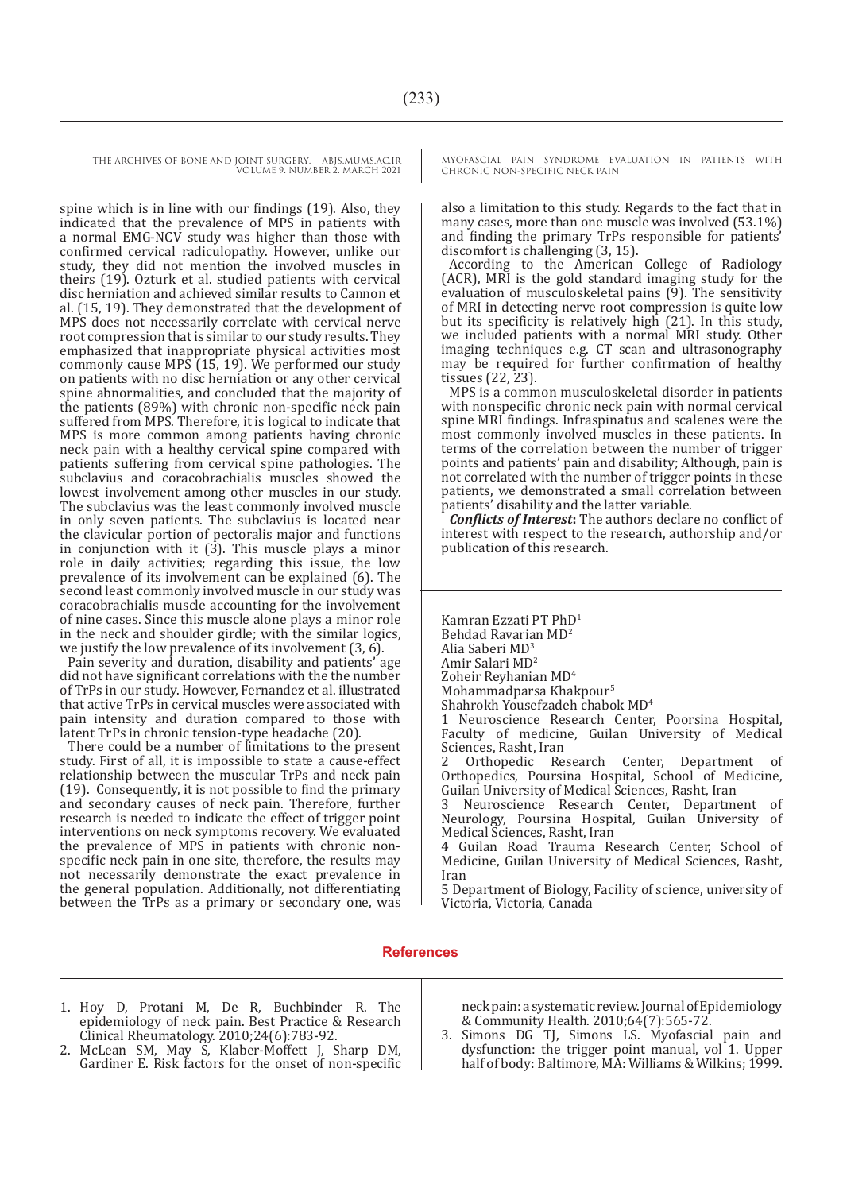spine which is in line with our findings (19). Also, they indicated that the prevalence of MPS in patients with a normal EMG-NCV study was higher than those with confirmed cervical radiculopathy. However, unlike our study, they did not mention the involved muscles in theirs (19). Ozturk et al. studied patients with cervical disc herniation and achieved similar results to Cannon et al. (15, 19). They demonstrated that the development of MPS does not necessarily correlate with cervical nerve root compression that is similar to our study results. They emphasized that inappropriate physical activities most commonly cause MPS (15, 19). We performed our study on patients with no disc herniation or any other cervical spine abnormalities, and concluded that the majority of the patients (89%) with chronic non-specific neck pain suffered from MPS. Therefore, it is logical to indicate that MPS is more common among patients having chronic neck pain with a healthy cervical spine compared with patients suffering from cervical spine pathologies. The subclavius and coracobrachialis muscles showed the lowest involvement among other muscles in our study. The subclavius was the least commonly involved muscle in only seven patients. The subclavius is located near the clavicular portion of pectoralis major and functions in conjunction with it  $(3)$ . This muscle plays a minor role in daily activities; regarding this issue, the low prevalence of its involvement can be explained (6). The second least commonly involved muscle in our study was coracobrachialis muscle accounting for the involvement of nine cases. Since this muscle alone plays a minor role in the neck and shoulder girdle; with the similar logics, we justify the low prevalence of its involvement (3, 6).

Pain severity and duration, disability and patients' age did not have significant correlations with the the number of TrPs in our study. However, Fernandez et al. illustrated that active TrPs in cervical muscles were associated with pain intensity and duration compared to those with latent TrPs in chronic tension-type headache (20).

There could be a number of limitations to the present study. First of all, it is impossible to state a cause-effect relationship between the muscular TrPs and neck pain (19). Consequently, it is not possible to find the primary and secondary causes of neck pain. Therefore, further research is needed to indicate the effect of trigger point interventions on neck symptoms recovery. We evaluated the prevalence of MPS in patients with chronic nonspecific neck pain in one site, therefore, the results may not necessarily demonstrate the exact prevalence in the general population. Additionally, not differentiating between the TrPs as a primary or secondary one, was

MYOFASCIAL PAIN SYNDROME EVALUATION IN PATIENTS WITH CHRONIC NON-SPECIFIC NECK PAIN

also a limitation to this study. Regards to the fact that in many cases, more than one muscle was involved (53.1%) and finding the primary TrPs responsible for patients' discomfort is challenging (3, 15).

According to the American College of Radiology (ACR), MRI is the gold standard imaging study for the evaluation of musculoskeletal pains (9). The sensitivity of MRI in detecting nerve root compression is quite low but its specificity is relatively high (21). In this study, we included patients with a normal MRI study. Other imaging techniques e.g. CT scan and ultrasonography may be required for further confirmation of healthy tissues (22, 23).

MPS is a common musculoskeletal disorder in patients with nonspecific chronic neck pain with normal cervical spine MRI findings. Infraspinatus and scalenes were the most commonly involved muscles in these patients. In terms of the correlation between the number of trigger points and patients' pain and disability; Although, pain is not correlated with the number of trigger points in these patients, we demonstrated a small correlation between patients' disability and the latter variable.

*Conflicts of Interest***:** The authors declare no conflict of interest with respect to the research, authorship and/or publication of this research.

Kamran Ezzati PT PhD1 Behdad Ravarian MD<sup>2</sup> Alia Saberi MD<sup>3</sup> Amir Salari MD<sup>2</sup> Zoheir Reyhanian MD<sup>4</sup> Mohammadparsa Khakpour5 Shahrokh Yousefzadeh chabok MD4 1 Neuroscience Research Center, Poorsina Hospital, Faculty of medicine, Guilan University of Medical Sciences, Rasht, Iran Orthopedic Research Center, Department of Orthopedics, Poursina Hospital, School of Medicine, Guilan University of Medical Sciences, Rasht, Iran Neuroscience Research Center, Department of Neurology, Poursina Hospital, Guilan University of Medical Sciences, Rasht, Iran 4 Guilan Road Trauma Research Center, School of

Medicine, Guilan University of Medical Sciences, Rasht, Iran

5 Department of Biology, Facility of science, university of Victoria, Victoria, Canada

#### **References**

- 1. Hoy D, Protani M, De R, Buchbinder R. The epidemiology of neck pain. Best Practice & Research Clinical Rheumatology. 2010;24(6):783-92.
- 2. McLean SM, May S, Klaber-Moffett J, Sharp DM, Gardiner E. Risk factors for the onset of non-specific

neck pain: a systematic review. Journal of Epidemiology & Community Health. 2010;64(7):565-72.

3. Simons DG TJ, Simons LS. Myofascial pain and dysfunction: the trigger point manual, vol 1. Upper half of body: Baltimore, MA: Williams & Wilkins; 1999.